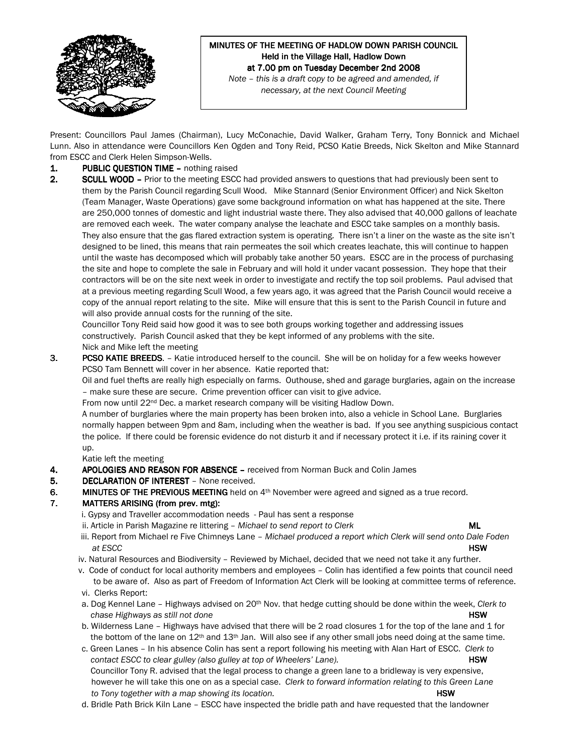

# MINUTES OF THE MEETING OF HADLOW DOWN PARISH COUNCIL Held in the Village Hall, Hadlow Down at 7.00 pm on Tuesday December 2nd 2008

Note – this is a draft copy to be agreed and amended, if necessary, at the next Council Meeting

Present: Councillors Paul James (Chairman), Lucy McConachie, David Walker, Graham Terry, Tony Bonnick and Michael Lunn. Also in attendance were Councillors Ken Ogden and Tony Reid, PCSO Katie Breeds, Nick Skelton and Mike Stannard from ESCC and Clerk Helen Simpson-Wells.

## 1. PUBLIC QUESTION TIME – nothing raised

2. SCULL WOOD – Prior to the meeting ESCC had provided answers to questions that had previously been sent to them by the Parish Council regarding Scull Wood. Mike Stannard (Senior Environment Officer) and Nick Skelton (Team Manager, Waste Operations) gave some background information on what has happened at the site. There are 250,000 tonnes of domestic and light industrial waste there. They also advised that 40,000 gallons of leachate are removed each week. The water company analyse the leachate and ESCC take samples on a monthly basis. They also ensure that the gas flared extraction system is operating. There isn't a liner on the waste as the site isn't designed to be lined, this means that rain permeates the soil which creates leachate, this will continue to happen until the waste has decomposed which will probably take another 50 years. ESCC are in the process of purchasing the site and hope to complete the sale in February and will hold it under vacant possession. They hope that their contractors will be on the site next week in order to investigate and rectify the top soil problems. Paul advised that at a previous meeting regarding Scull Wood, a few years ago, it was agreed that the Parish Council would receive a copy of the annual report relating to the site. Mike will ensure that this is sent to the Parish Council in future and will also provide annual costs for the running of the site.

Councillor Tony Reid said how good it was to see both groups working together and addressing issues constructively. Parish Council asked that they be kept informed of any problems with the site. Nick and Mike left the meeting

3. PCSO KATIE BREEDS. – Katie introduced herself to the council. She will be on holiday for a few weeks however PCSO Tam Bennett will cover in her absence. Katie reported that:

Oil and fuel thefts are really high especially on farms. Outhouse, shed and garage burglaries, again on the increase – make sure these are secure. Crime prevention officer can visit to give advice.

From now until 22<sup>nd</sup> Dec. a market research company will be visiting Hadlow Down.

A number of burglaries where the main property has been broken into, also a vehicle in School Lane. Burglaries normally happen between 9pm and 8am, including when the weather is bad. If you see anything suspicious contact the police. If there could be forensic evidence do not disturb it and if necessary protect it i.e. if its raining cover it up.

Katie left the meeting

- 4. APOLOGIES AND REASON FOR ABSENCE received from Norman Buck and Colin James
- 5. DECLARATION OF INTEREST None received.
- 6. MINUTES OF THE PREVIOUS MEETING held on  $4<sup>th</sup>$  November were agreed and signed as a true record.

## 7. MATTERS ARISING (from prev. mtg):

- i. Gypsy and Traveller accommodation needs Paul has sent a response
- ii. Article in Parish Magazine re littering  $-$  Michael to send report to Clerk  $ML$ 
	-
- iii. Report from Michael re Five Chimneys Lane Michael produced a report which Clerk will send onto Dale Foden at ESCC **HSW**
- iv. Natural Resources and Biodiversity Reviewed by Michael, decided that we need not take it any further.
- v. Code of conduct for local authority members and employees Colin has identified a few points that council need to be aware of. Also as part of Freedom of Information Act Clerk will be looking at committee terms of reference.
- vi. Clerks Report:
- a. Dog Kennel Lane Highways advised on 20<sup>th</sup> Nov. that hedge cutting should be done within the week, Clerk to chase Highways as still not done **HSW** and the HSW and the HSW and the HSW and the HSW and the HSW and the HSW and the HSW and the HSW and the HSW and the HSW and the HSW and the HSW and the HSW and the HSW and the HSW and
- b. Wilderness Lane Highways have advised that there will be 2 road closures 1 for the top of the lane and 1 for the bottom of the lane on  $12<sup>th</sup>$  and  $13<sup>th</sup>$  Jan. Will also see if any other small jobs need doing at the same time.
- c. Green Lanes In his absence Colin has sent a report following his meeting with Alan Hart of ESCC. Clerk to contact ESCC to clear gulley (also gulley at top of Wheelers' Lane). **HSW** HSW Councillor Tony R. advised that the legal process to change a green lane to a bridleway is very expensive, however he will take this one on as a special case. Clerk to forward information relating to this Green Lane to Tony together with a map showing its location. The manufacture of the state of the HSW
- d. Bridle Path Brick Kiln Lane ESCC have inspected the bridle path and have requested that the landowner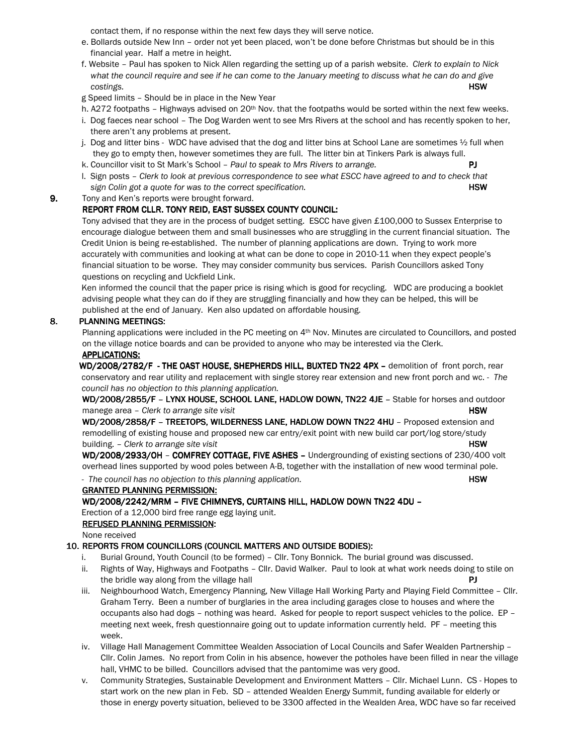contact them, if no response within the next few days they will serve notice.

- e. Bollards outside New Inn order not yet been placed, won't be done before Christmas but should be in this financial year. Half a metre in height.
- f. Website Paul has spoken to Nick Allen regarding the setting up of a parish website. Clerk to explain to Nick what the council require and see if he can come to the January meeting to discuss what he can do and give costings. **HSW** the cost of the cost of the cost of the cost of the cost of the cost of the cost of the cost of the cost of the cost of the cost of the cost of the cost of the cost of the cost of the cost of the cost of th

g Speed limits – Should be in place in the New Year

- h. A272 footpaths Highways advised on 20<sup>th</sup> Nov. that the footpaths would be sorted within the next few weeks.
- i. Dog faeces near school The Dog Warden went to see Mrs Rivers at the school and has recently spoken to her, there aren't any problems at present.
- j. Dog and litter bins WDC have advised that the dog and litter bins at School Lane are sometimes 1/2 full when they go to empty then, however sometimes they are full. The litter bin at Tinkers Park is always full.
- k. Councillor visit to St Mark's School Paul to speak to Mrs Rivers to arrange.
- l. Sign posts Clerk to look at previous correspondence to see what ESCC have agreed to and to check that sign Colin got a quote for was to the correct specification. **HSW** BOW
- 9. Tony and Ken's reports were brought forward.

## REPORT FROM CLLR. TONY REID, EAST SUSSEX COUNTY COUNCIL:

 Tony advised that they are in the process of budget setting. ESCC have given £100,000 to Sussex Enterprise to encourage dialogue between them and small businesses who are struggling in the current financial situation. The Credit Union is being re-established. The number of planning applications are down. Trying to work more accurately with communities and looking at what can be done to cope in 2010-11 when they expect people's financial situation to be worse. They may consider community bus services. Parish Councillors asked Tony questions on recycling and Uckfield Link.

 Ken informed the council that the paper price is rising which is good for recycling. WDC are producing a booklet advising people what they can do if they are struggling financially and how they can be helped, this will be published at the end of January. Ken also updated on affordable housing.

## 8. PLANNING MEETINGS:

Planning applications were included in the PC meeting on 4<sup>th</sup> Nov. Minutes are circulated to Councillors, and posted on the village notice boards and can be provided to anyone who may be interested via the Clerk.

#### APPLICATIONS:

WD/2008/2782/F - THE OAST HOUSE, SHEPHERDS HILL, BUXTED TN22 4PX - demolition of front porch, rear conservatory and rear utility and replacement with single storey rear extension and new front porch and wc. - The council has no objection to this planning application.

WD/2008/2855/F - LYNX HOUSE, SCHOOL LANE, HADLOW DOWN, TN22 4JE - Stable for horses and outdoor manege area – Clerk to arrange site visit HSW

WD/2008/2858/F - TREETOPS, WILDERNESS LANE, HADLOW DOWN TN22 4HU - Proposed extension and remodelling of existing house and proposed new car entry/exit point with new build car port/log store/study building. – Clerk to arrange site visit HSW and the state visit HSW and the state of the state of the state visit

WD/2008/2933/OH - COMFREY COTTAGE, FIVE ASHES - Undergrounding of existing sections of 230/400 volt overhead lines supported by wood poles between A-B, together with the installation of new wood terminal pole.

- The council has no objection to this planning application. The mass of the state of  $HSW$ 

#### GRANTED PLANNING PERMISSION:

#### WD/2008/2242/MRM – FIVE CHIMNEYS, CURTAINS HILL, HADLOW DOWN TN22 4DU -

Erection of a 12,000 bird free range egg laying unit.

## REFUSED PLANNING PERMISSION:

None received

## 10. REPORTS FROM COUNCILLORS (COUNCIL MATTERS AND OUTSIDE BODIES):

- i. Burial Ground, Youth Council (to be formed) Cllr. Tony Bonnick. The burial ground was discussed.
- ii. Rights of Way, Highways and Footpaths Cllr. David Walker. Paul to look at what work needs doing to stile on the bridle way along from the village hall **PJ PJ**
- iii. Neighbourhood Watch, Emergency Planning, New Village Hall Working Party and Playing Field Committee Cllr. Graham Terry. Been a number of burglaries in the area including garages close to houses and where the occupants also had dogs – nothing was heard. Asked for people to report suspect vehicles to the police. EP – meeting next week, fresh questionnaire going out to update information currently held. PF – meeting this week.
- iv. Village Hall Management Committee Wealden Association of Local Councils and Safer Wealden Partnership Cllr. Colin James. No report from Colin in his absence, however the potholes have been filled in near the village hall, VHMC to be billed. Councillors advised that the pantomime was very good.
- v. Community Strategies, Sustainable Development and Environment Matters Cllr. Michael Lunn. CS Hopes to start work on the new plan in Feb. SD – attended Wealden Energy Summit, funding available for elderly or those in energy poverty situation, believed to be 3300 affected in the Wealden Area, WDC have so far received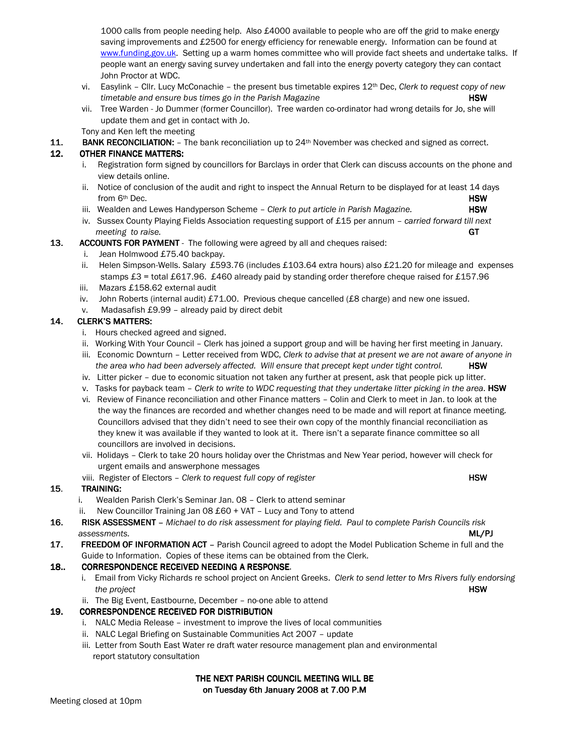1000 calls from people needing help. Also £4000 available to people who are off the grid to make energy saving improvements and £2500 for energy efficiency for renewable energy. Information can be found at www.funding.gov.uk. Setting up a warm homes committee who will provide fact sheets and undertake talks. If people want an energy saving survey undertaken and fall into the energy poverty category they can contact John Proctor at WDC.

- vi. Easylink Cllr. Lucy McConachie the present bus timetable expires  $12^{th}$  Dec, Clerk to request copy of new timetable and ensure bus times go in the Parish Magazine **HSW** HSW
- vii. Tree Warden Jo Dummer (former Councillor). Tree warden co-ordinator had wrong details for Jo, she will update them and get in contact with Jo.

Tony and Ken left the meeting

11. BANK RECONCILIATION:  $-$  The bank reconciliation up to  $24<sup>th</sup>$  November was checked and signed as correct.

## 12. OTHER FINANCE MATTERS:

- i. Registration form signed by councillors for Barclays in order that Clerk can discuss accounts on the phone and view details online.
- ii. Notice of conclusion of the audit and right to inspect the Annual Return to be displayed for at least 14 days from 6<sup>th</sup> Dec. **HSW**
- iii. Wealden and Lewes Handyperson Scheme  $-$  Clerk to put article in Parish Magazine.  $HSW$
- iv. Sussex County Playing Fields Association requesting support of £15 per annum carried forward till next meeting to raise. GT
- **13. ACCOUNTS FOR PAYMENT** The following were agreed by all and cheques raised:
	- i. Jean Holmwood £75.40 backpay.
	- ii. Helen Simpson-Wells. Salary £593.76 (includes £103.64 extra hours) also £21.20 for mileage and expenses stamps £3 = total £617.96. £460 already paid by standing order therefore cheque raised for £157.96
	- iii. Mazars £158.62 external audit
	- iv. John Roberts (internal audit) £71.00. Previous cheque cancelled (£8 charge) and new one issued.
	- v. Madasafish £9.99 already paid by direct debit

## 14. CLERK'S MATTERS:

- i. Hours checked agreed and signed.
- ii. Working With Your Council Clerk has joined a support group and will be having her first meeting in January.
- iii. Economic Downturn Letter received from WDC, Clerk to advise that at present we are not aware of anyone in the area who had been adversely affected. Will ensure that precept kept under tight control. **HSW**
- iv. Litter picker due to economic situation not taken any further at present, ask that people pick up litter.
- v. Tasks for payback team Clerk to write to WDC requesting that they undertake litter picking in the area. HSW
- vi. Review of Finance reconciliation and other Finance matters Colin and Clerk to meet in Jan. to look at the the way the finances are recorded and whether changes need to be made and will report at finance meeting. Councillors advised that they didn't need to see their own copy of the monthly financial reconciliation as they knew it was available if they wanted to look at it. There isn't a separate finance committee so all councillors are involved in decisions.
- vii. Holidays Clerk to take 20 hours holiday over the Christmas and New Year period, however will check for urgent emails and answerphone messages
- viii. Register of Electors Clerk to request full copy of register **HSW** 
	-

## 15. TRAINING:

- i. Wealden Parish Clerk's Seminar Jan. 08 Clerk to attend seminar
- ii. New Councillor Training Jan 08 £60 + VAT Lucy and Tony to attend
- 16. RISK ASSESSMENT Michael to do risk assessment for playing field. Paul to complete Parish Councils risk assessments. ML/PJ
- 17. FREEDOM OF INFORMATION ACT Parish Council agreed to adopt the Model Publication Scheme in full and the Guide to Information. Copies of these items can be obtained from the Clerk.

## 18.. CORRESPONDENCE RECEIVED NEEDING A RESPONSE.

- i. Email from Vicky Richards re school project on Ancient Greeks. Clerk to send letter to Mrs Rivers fully endorsing the project **HSW** 
	- ii. The Big Event, Eastbourne, December no-one able to attend

## 19. CORRESPONDENCE RECEIVED FOR DISTRIBUTION

- i. NALC Media Release investment to improve the lives of local communities
- ii. NALC Legal Briefing on Sustainable Communities Act 2007 update
- iii. Letter from South East Water re draft water resource management plan and environmental report statutory consultation

## THE NEXT PARISH COUNCIL MEETING WILL BE on Tuesday 6th January 2008 at 7.00 P.M